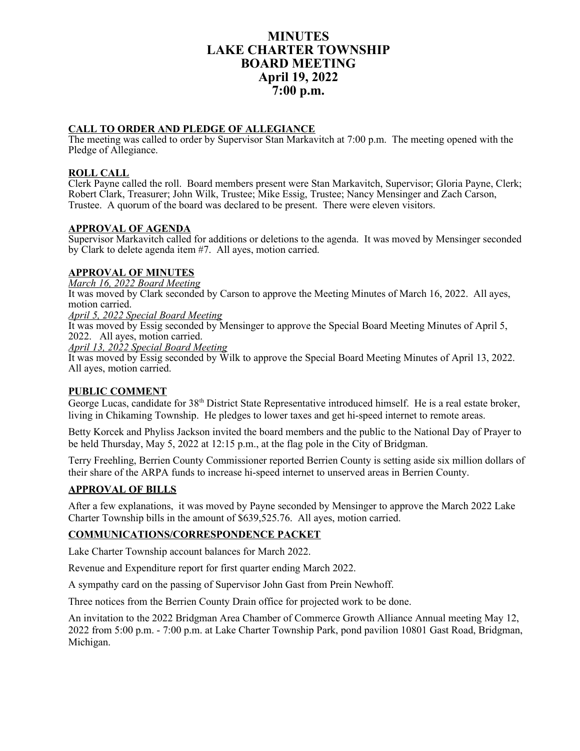# **MINUTES LAKE CHARTER TOWNSHIP BOARD MEETING April 19, 2022 7:00 p.m.**

#### **CALL TO ORDER AND PLEDGE OF ALLEGIANCE**

The meeting was called to order by Supervisor Stan Markavitch at 7:00 p.m. The meeting opened with the Pledge of Allegiance.

#### **ROLL CALL**

Clerk Payne called the roll. Board members present were Stan Markavitch, Supervisor; Gloria Payne, Clerk; Robert Clark, Treasurer; John Wilk, Trustee; Mike Essig, Trustee; Nancy Mensinger and Zach Carson, Trustee. A quorum of the board was declared to be present. There were eleven visitors.

#### **APPROVAL OF AGENDA**

Supervisor Markavitch called for additions or deletions to the agenda. It was moved by Mensinger seconded by Clark to delete agenda item #7. All ayes, motion carried.

### **APPROVAL OF MINUTES**

*March 16, 2022 Board Meeting* It was moved by Clark seconded by Carson to approve the Meeting Minutes of March 16, 2022. All ayes, motion carried. *April 5, 2022 Special Board Meeting*

It was moved by Essig seconded by Mensinger to approve the Special Board Meeting Minutes of April 5, 2022. All ayes, motion carried.

*April 13, 2022 Special Board Meeting*

It was moved by Essig seconded by Wilk to approve the Special Board Meeting Minutes of April 13, 2022. All ayes, motion carried.

#### **PUBLIC COMMENT**

George Lucas, candidate for 38<sup>th</sup> District State Representative introduced himself. He is a real estate broker, living in Chikaming Township. He pledges to lower taxes and get hi-speed internet to remote areas.

Betty Korcek and Phyliss Jackson invited the board members and the public to the National Day of Prayer to be held Thursday, May 5, 2022 at 12:15 p.m., at the flag pole in the City of Bridgman.

Terry Freehling, Berrien County Commissioner reported Berrien County is setting aside six million dollars of their share of the ARPA funds to increase hi-speed internet to unserved areas in Berrien County.

#### **APPROVAL OF BILLS**

After a few explanations, it was moved by Payne seconded by Mensinger to approve the March 2022 Lake Charter Township bills in the amount of \$639,525.76. All ayes, motion carried.

## **COMMUNICATIONS/CORRESPONDENCE PACKET**

Lake Charter Township account balances for March 2022.

Revenue and Expenditure report for first quarter ending March 2022.

A sympathy card on the passing of Supervisor John Gast from Prein Newhoff.

Three notices from the Berrien County Drain office for projected work to be done.

An invitation to the 2022 Bridgman Area Chamber of Commerce Growth Alliance Annual meeting May 12, 2022 from 5:00 p.m. - 7:00 p.m. at Lake Charter Township Park, pond pavilion 10801 Gast Road, Bridgman, Michigan.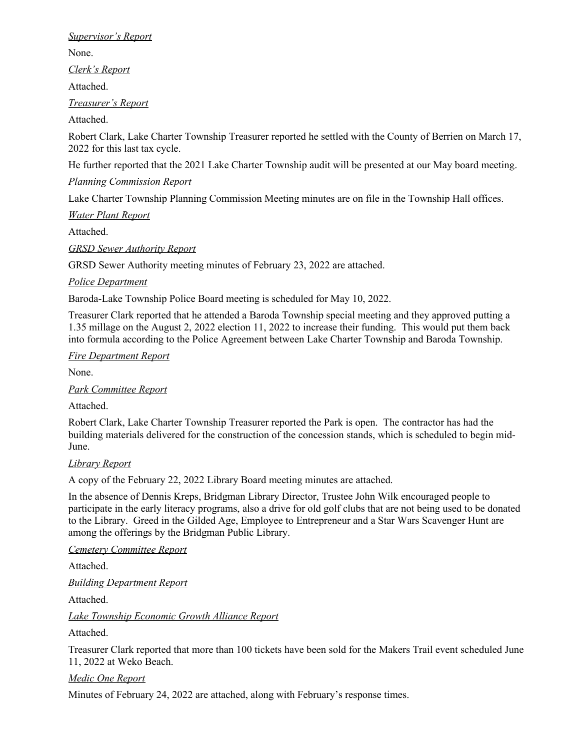*Supervisor's Report*

None.

*Clerk's Report*

Attached.

*Treasurer's Report*

Attached.

Robert Clark, Lake Charter Township Treasurer reported he settled with the County of Berrien on March 17, 2022 for this last tax cycle.

He further reported that the 2021 Lake Charter Township audit will be presented at our May board meeting.

*Planning Commission Report*

Lake Charter Township Planning Commission Meeting minutes are on file in the Township Hall offices.

*Water Plant Report*

Attached.

*GRSD Sewer Authority Report*

GRSD Sewer Authority meeting minutes of February 23, 2022 are attached.

### *Police Department*

Baroda-Lake Township Police Board meeting is scheduled for May 10, 2022.

Treasurer Clark reported that he attended a Baroda Township special meeting and they approved putting a 1.35 millage on the August 2, 2022 election 11, 2022 to increase their funding. This would put them back into formula according to the Police Agreement between Lake Charter Township and Baroda Township.

### *Fire Department Report*

None.

*Park Committee Report*

Attached.

Robert Clark, Lake Charter Township Treasurer reported the Park is open. The contractor has had the building materials delivered for the construction of the concession stands, which is scheduled to begin mid-June.

## *Library Report*

A copy of the February 22, 2022 Library Board meeting minutes are attached.

In the absence of Dennis Kreps, Bridgman Library Director, Trustee John Wilk encouraged people to participate in the early literacy programs, also a drive for old golf clubs that are not being used to be donated to the Library. Greed in the Gilded Age, Employee to Entrepreneur and a Star Wars Scavenger Hunt are among the offerings by the Bridgman Public Library.

*Cemetery Committee Report*

Attached.

*Building Department Report*

Attached.

*Lake Township Economic Growth Alliance Report*

Attached.

Treasurer Clark reported that more than 100 tickets have been sold for the Makers Trail event scheduled June 11, 2022 at Weko Beach.

## *Medic One Report*

Minutes of February 24, 2022 are attached, along with February's response times.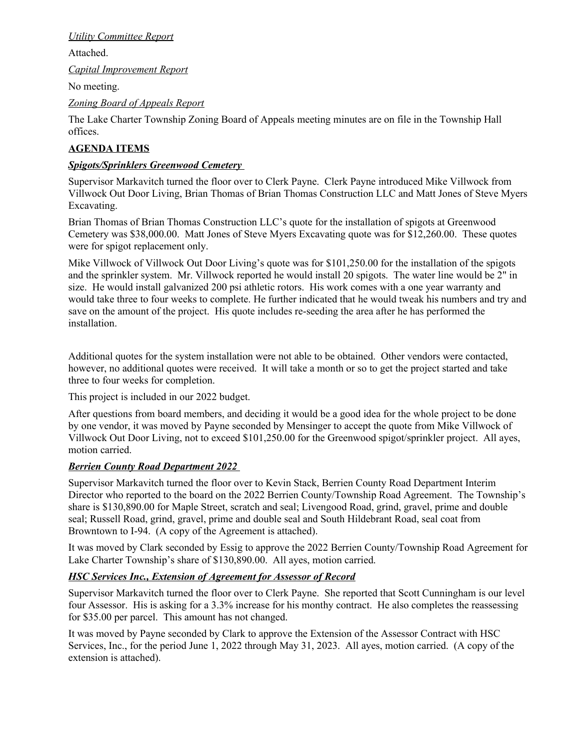*Utility Committee Report*

Attached.

*Capital Improvement Report*

No meeting.

*Zoning Board of Appeals Report*

The Lake Charter Township Zoning Board of Appeals meeting minutes are on file in the Township Hall offices.

# **AGENDA ITEMS**

## *Spigots/Sprinklers Greenwood Cemetery*

Supervisor Markavitch turned the floor over to Clerk Payne. Clerk Payne introduced Mike Villwock from Villwock Out Door Living, Brian Thomas of Brian Thomas Construction LLC and Matt Jones of Steve Myers Excavating.

Brian Thomas of Brian Thomas Construction LLC's quote for the installation of spigots at Greenwood Cemetery was \$38,000.00. Matt Jones of Steve Myers Excavating quote was for \$12,260.00. These quotes were for spigot replacement only.

Mike Villwock of Villwock Out Door Living's quote was for \$101,250.00 for the installation of the spigots and the sprinkler system. Mr. Villwock reported he would install 20 spigots. The water line would be 2" in size. He would install galvanized 200 psi athletic rotors. His work comes with a one year warranty and would take three to four weeks to complete. He further indicated that he would tweak his numbers and try and save on the amount of the project. His quote includes re-seeding the area after he has performed the installation.

Additional quotes for the system installation were not able to be obtained. Other vendors were contacted, however, no additional quotes were received. It will take a month or so to get the project started and take three to four weeks for completion.

This project is included in our 2022 budget.

After questions from board members, and deciding it would be a good idea for the whole project to be done by one vendor, it was moved by Payne seconded by Mensinger to accept the quote from Mike Villwock of Villwock Out Door Living, not to exceed \$101,250.00 for the Greenwood spigot/sprinkler project. All ayes, motion carried.

## *Berrien County Road Department 2022*

Supervisor Markavitch turned the floor over to Kevin Stack, Berrien County Road Department Interim Director who reported to the board on the 2022 Berrien County/Township Road Agreement. The Township's share is \$130,890.00 for Maple Street, scratch and seal; Livengood Road, grind, gravel, prime and double seal; Russell Road, grind, gravel, prime and double seal and South Hildebrant Road, seal coat from Browntown to I-94. (A copy of the Agreement is attached).

It was moved by Clark seconded by Essig to approve the 2022 Berrien County/Township Road Agreement for Lake Charter Township's share of \$130,890.00. All ayes, motion carried.

# *HSC Services Inc., Extension of Agreement for Assessor of Record*

Supervisor Markavitch turned the floor over to Clerk Payne. She reported that Scott Cunningham is our level four Assessor. His is asking for a 3.3% increase for his monthy contract. He also completes the reassessing for \$35.00 per parcel. This amount has not changed.

It was moved by Payne seconded by Clark to approve the Extension of the Assessor Contract with HSC Services, Inc., for the period June 1, 2022 through May 31, 2023. All ayes, motion carried. (A copy of the extension is attached).